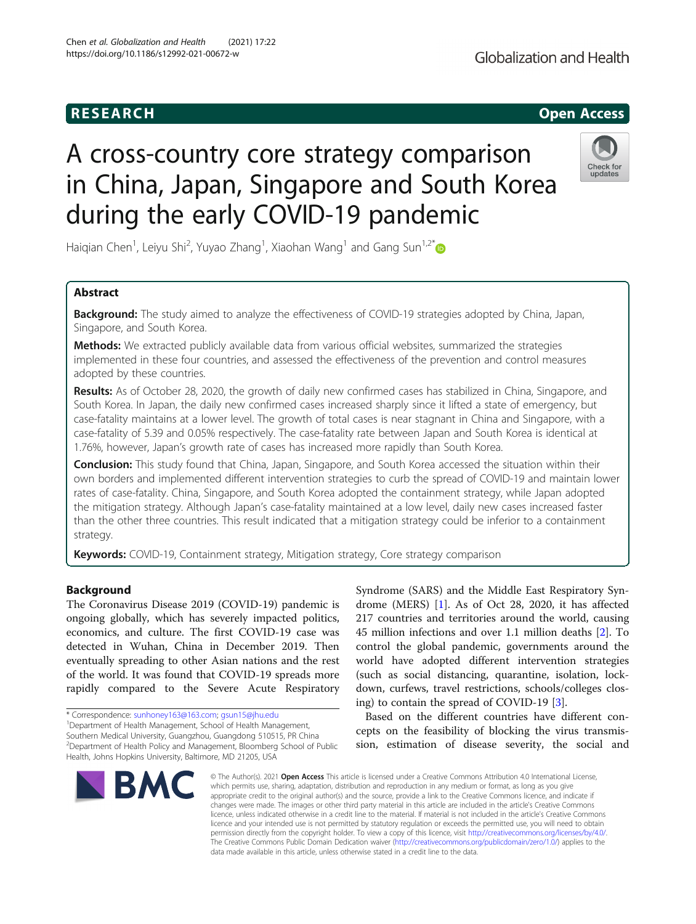# **RESEARCH CHE Open Access**

# A cross-country core strategy comparison in China, Japan, Singapore and South Korea during the early COVID-19 pandemic

Haiqian Chen<sup>1</sup>, Leiyu Shi<sup>2</sup>, Yuyao Zhang<sup>1</sup>, Xiaohan Wang<sup>1</sup> and Gang Sun<sup>1,2\*</sup>

# Abstract

**Background:** The study aimed to analyze the effectiveness of COVID-19 strategies adopted by China, Japan, Singapore, and South Korea.

**Methods:** We extracted publicly available data from various official websites, summarized the strategies implemented in these four countries, and assessed the effectiveness of the prevention and control measures adopted by these countries.

Results: As of October 28, 2020, the growth of daily new confirmed cases has stabilized in China, Singapore, and South Korea. In Japan, the daily new confirmed cases increased sharply since it lifted a state of emergency, but case-fatality maintains at a lower level. The growth of total cases is near stagnant in China and Singapore, with a case-fatality of 5.39 and 0.05% respectively. The case-fatality rate between Japan and South Korea is identical at 1.76%, however, Japan's growth rate of cases has increased more rapidly than South Korea.

Conclusion: This study found that China, Japan, Singapore, and South Korea accessed the situation within their own borders and implemented different intervention strategies to curb the spread of COVID-19 and maintain lower rates of case-fatality. China, Singapore, and South Korea adopted the containment strategy, while Japan adopted the mitigation strategy. Although Japan's case-fatality maintained at a low level, daily new cases increased faster than the other three countries. This result indicated that a mitigation strategy could be inferior to a containment strategy.

Keywords: COVID-19, Containment strategy, Mitigation strategy, Core strategy comparison

# Background

The Coronavirus Disease 2019 (COVID-19) pandemic is ongoing globally, which has severely impacted politics, economics, and culture. The first COVID-19 case was detected in Wuhan, China in December 2019. Then eventually spreading to other Asian nations and the rest of the world. It was found that COVID-19 spreads more rapidly compared to the Severe Acute Respiratory

Southern Medical University, Guangzhou, Guangdong 510515, PR China 2 Department of Health Policy and Management, Bloomberg School of Public Health, Johns Hopkins University, Baltimore, MD 21205, USA

# <sup>1</sup>Department of Health Management, School of Health Management,

**BM** 

Syndrome (SARS) and the Middle East Respiratory Syndrome (MERS) [\[1](#page-9-0)]. As of Oct 28, 2020, it has affected 217 countries and territories around the world, causing 45 million infections and over 1.1 million deaths [\[2](#page-9-0)]. To control the global pandemic, governments around the world have adopted different intervention strategies (such as social distancing, quarantine, isolation, lockdown, curfews, travel restrictions, schools/colleges closing) to contain the spread of COVID-19 [[3](#page-9-0)].

Based on the different countries have different concepts on the feasibility of blocking the virus transmission, estimation of disease severity, the social and

© The Author(s), 2021 **Open Access** This article is licensed under a Creative Commons Attribution 4.0 International License, which permits use, sharing, adaptation, distribution and reproduction in any medium or format, as long as you give appropriate credit to the original author(s) and the source, provide a link to the Creative Commons licence, and indicate if changes were made. The images or other third party material in this article are included in the article's Creative Commons licence, unless indicated otherwise in a credit line to the material. If material is not included in the article's Creative Commons licence and your intended use is not permitted by statutory regulation or exceeds the permitted use, you will need to obtain permission directly from the copyright holder. To view a copy of this licence, visit [http://creativecommons.org/licenses/by/4.0/.](http://creativecommons.org/licenses/by/4.0/) The Creative Commons Public Domain Dedication waiver [\(http://creativecommons.org/publicdomain/zero/1.0/](http://creativecommons.org/publicdomain/zero/1.0/)) applies to the data made available in this article, unless otherwise stated in a credit line to the data.





<sup>\*</sup> Correspondence: [sunhoney163@163.com;](mailto:sunhoney163@163.com) [gsun15@jhu.edu](mailto:gsun15@jhu.edu) <sup>1</sup>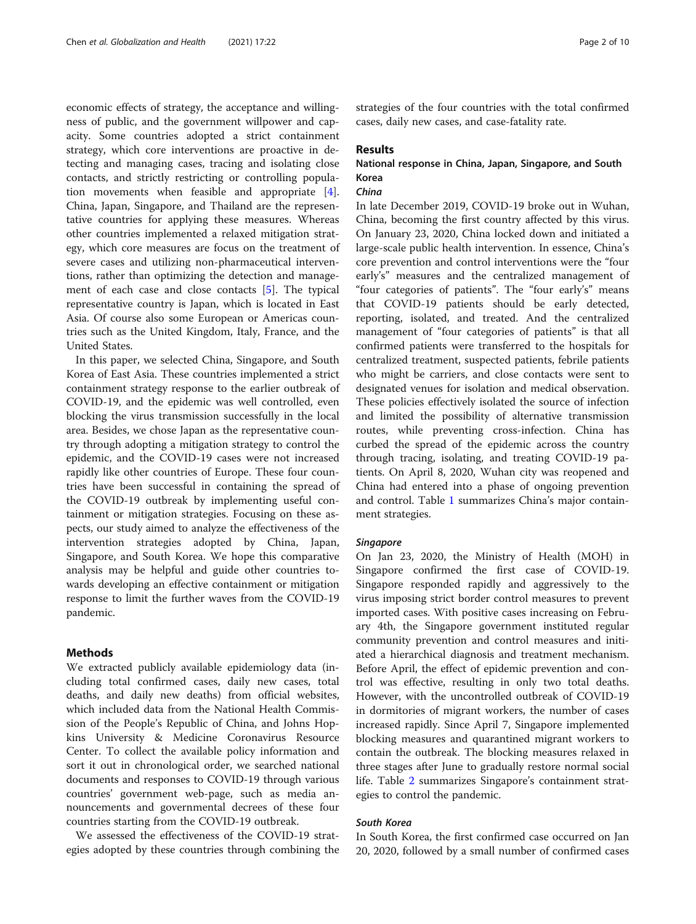economic effects of strategy, the acceptance and willingness of public, and the government willpower and capacity. Some countries adopted a strict containment strategy, which core interventions are proactive in detecting and managing cases, tracing and isolating close contacts, and strictly restricting or controlling population movements when feasible and appropriate [\[4](#page-9-0)]. China, Japan, Singapore, and Thailand are the representative countries for applying these measures. Whereas other countries implemented a relaxed mitigation strategy, which core measures are focus on the treatment of severe cases and utilizing non-pharmaceutical interventions, rather than optimizing the detection and management of each case and close contacts [[5\]](#page-9-0). The typical representative country is Japan, which is located in East Asia. Of course also some European or Americas countries such as the United Kingdom, Italy, France, and the United States.

In this paper, we selected China, Singapore, and South Korea of East Asia. These countries implemented a strict containment strategy response to the earlier outbreak of COVID-19, and the epidemic was well controlled, even blocking the virus transmission successfully in the local area. Besides, we chose Japan as the representative country through adopting a mitigation strategy to control the epidemic, and the COVID-19 cases were not increased rapidly like other countries of Europe. These four countries have been successful in containing the spread of the COVID-19 outbreak by implementing useful containment or mitigation strategies. Focusing on these aspects, our study aimed to analyze the effectiveness of the intervention strategies adopted by China, Japan, Singapore, and South Korea. We hope this comparative analysis may be helpful and guide other countries towards developing an effective containment or mitigation response to limit the further waves from the COVID-19 pandemic.

# Methods

We extracted publicly available epidemiology data (including total confirmed cases, daily new cases, total deaths, and daily new deaths) from official websites, which included data from the National Health Commission of the People's Republic of China, and Johns Hopkins University & Medicine Coronavirus Resource Center. To collect the available policy information and sort it out in chronological order, we searched national documents and responses to COVID-19 through various countries' government web-page, such as media announcements and governmental decrees of these four countries starting from the COVID-19 outbreak.

We assessed the effectiveness of the COVID-19 strategies adopted by these countries through combining the strategies of the four countries with the total confirmed cases, daily new cases, and case-fatality rate.

# Results

# National response in China, Japan, Singapore, and South Korea

# $China$

In late December 2019, COVID-19 broke out in Wuhan, China, becoming the first country affected by this virus. On January 23, 2020, China locked down and initiated a large-scale public health intervention. In essence, China's core prevention and control interventions were the "four early's" measures and the centralized management of "four categories of patients". The "four early's" means that COVID-19 patients should be early detected, reporting, isolated, and treated. And the centralized management of "four categories of patients" is that all confirmed patients were transferred to the hospitals for centralized treatment, suspected patients, febrile patients who might be carriers, and close contacts were sent to designated venues for isolation and medical observation. These policies effectively isolated the source of infection and limited the possibility of alternative transmission routes, while preventing cross-infection. China has curbed the spread of the epidemic across the country through tracing, isolating, and treating COVID-19 patients. On April 8, 2020, Wuhan city was reopened and China had entered into a phase of ongoing prevention and control. Table [1](#page-2-0) summarizes China's major containment strategies.

### **Singapore**

On Jan 23, 2020, the Ministry of Health (MOH) in Singapore confirmed the first case of COVID-19. Singapore responded rapidly and aggressively to the virus imposing strict border control measures to prevent imported cases. With positive cases increasing on February 4th, the Singapore government instituted regular community prevention and control measures and initiated a hierarchical diagnosis and treatment mechanism. Before April, the effect of epidemic prevention and control was effective, resulting in only two total deaths. However, with the uncontrolled outbreak of COVID-19 in dormitories of migrant workers, the number of cases increased rapidly. Since April 7, Singapore implemented blocking measures and quarantined migrant workers to contain the outbreak. The blocking measures relaxed in three stages after June to gradually restore normal social life. Table [2](#page-3-0) summarizes Singapore's containment strategies to control the pandemic.

South Korea In South Korea, the first confirmed case occurred on Jan 20, 2020, followed by a small number of confirmed cases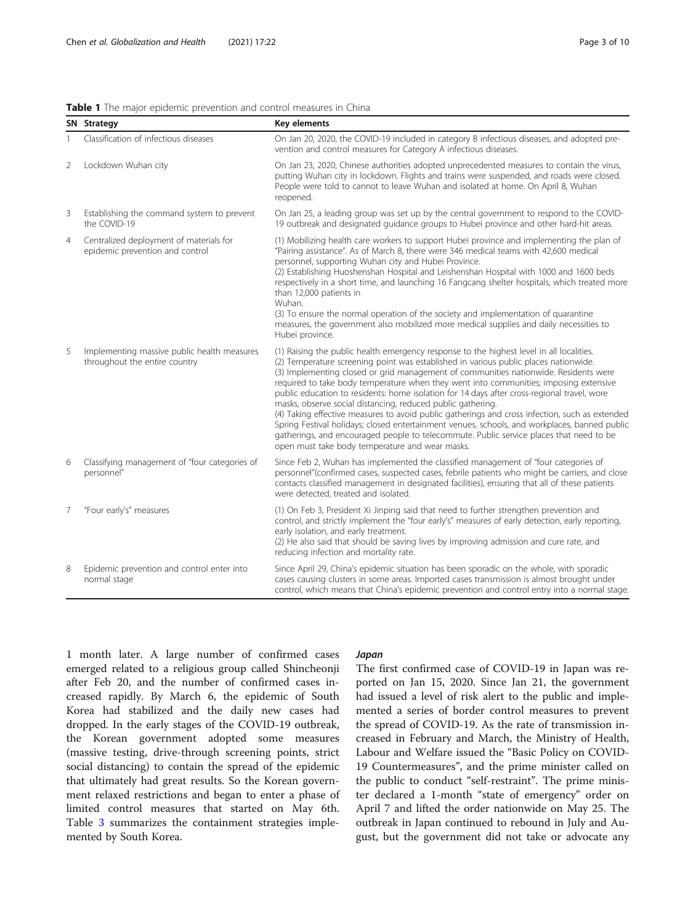<span id="page-2-0"></span>

| <b>Table 1</b> The maior epidemic prevention and control measures in China |
|----------------------------------------------------------------------------|
|----------------------------------------------------------------------------|

|                                       | SN Strategy                                                                  | Key elements                                                                                                                                                                                                                                                                                                                                                                                                                                                                                                                                                                                                                                               |
|---------------------------------------|------------------------------------------------------------------------------|------------------------------------------------------------------------------------------------------------------------------------------------------------------------------------------------------------------------------------------------------------------------------------------------------------------------------------------------------------------------------------------------------------------------------------------------------------------------------------------------------------------------------------------------------------------------------------------------------------------------------------------------------------|
| Classification of infectious diseases |                                                                              | On Jan 20, 2020, the COVID-19 included in category B infectious diseases, and adopted pre-<br>vention and control measures for Category A infectious diseases.                                                                                                                                                                                                                                                                                                                                                                                                                                                                                             |
| 2                                     | Lockdown Wuhan city                                                          | On Jan 23, 2020, Chinese authorities adopted unprecedented measures to contain the virus,<br>putting Wuhan city in lockdown. Flights and trains were suspended, and roads were closed.<br>People were told to cannot to leave Wuhan and isolated at home. On April 8, Wuhan<br>reopened.                                                                                                                                                                                                                                                                                                                                                                   |
| 3                                     | Establishing the command system to prevent<br>the COVID-19                   | On Jan 25, a leading group was set up by the central government to respond to the COVID-<br>19 outbreak and designated guidance groups to Hubei province and other hard-hit areas.                                                                                                                                                                                                                                                                                                                                                                                                                                                                         |
| $\overline{4}$                        | Centralized deployment of materials for<br>epidemic prevention and control   | (1) Mobilizing health care workers to support Hubei province and implementing the plan of<br>"Pairing assistance". As of March 8, there were 346 medical teams with 42,600 medical<br>personnel, supporting Wuhan city and Hubei Province.<br>(2) Establishing Huoshenshan Hospital and Leishenshan Hospital with 1000 and 1600 beds<br>respectively in a short time, and launching 16 Fangcang shelter hospitals, which treated more<br>than 12,000 patients in<br>Wuhan.<br>(3) To ensure the normal operation of the society and implementation of quarantine<br>measures, the government also mobilized more medical supplies and daily necessities to |
| 5                                     | Implementing massive public health measures<br>throughout the entire country | Hubei province.<br>(1) Raising the public health emergency response to the highest level in all localities.<br>(2) Temperature screening point was established in various public places nationwide.<br>(3) Implementing closed or grid management of communities nationwide. Residents were<br>required to take body temperature when they went into communities; imposing extensive<br>public education to residents: home isolation for 14 days after cross-regional travel, wore<br>masks, observe social distancing, reduced public gathering.<br>(4) Taking effective measures to avoid public gatherings and cross infection, such as extended       |
|                                       |                                                                              | Spring Festival holidays; closed entertainment venues, schools, and workplaces, banned public<br>gatherings, and encouraged people to telecommute. Public service places that need to be<br>open must take body temperature and wear masks.                                                                                                                                                                                                                                                                                                                                                                                                                |
| 6                                     | Classifying management of "four categories of<br>personnel"                  | Since Feb 2, Wuhan has implemented the classified management of "four categories of<br>personnel"(confirmed cases, suspected cases, febrile patients who might be carriers, and close<br>contacts classified management in designated facilities), ensuring that all of these patients<br>were detected, treated and isolated.                                                                                                                                                                                                                                                                                                                             |
| 7                                     | "Four early's" measures                                                      | (1) On Feb 3, President Xi Jinping said that need to further strengthen prevention and<br>control, and strictly implement the "four early's" measures of early detection, early reporting,<br>early isolation, and early treatment.<br>(2) He also said that should be saving lives by improving admission and cure rate, and<br>reducing infection and mortality rate.                                                                                                                                                                                                                                                                                    |
| 8                                     | Epidemic prevention and control enter into<br>normal stage                   | Since April 29, China's epidemic situation has been sporadic on the whole, with sporadic<br>cases causing clusters in some areas. Imported cases transmission is almost brought under<br>control, which means that China's epidemic prevention and control entry into a normal stage.                                                                                                                                                                                                                                                                                                                                                                      |

1 month later. A large number of confirmed cases emerged related to a religious group called Shincheonji after Feb 20, and the number of confirmed cases increased rapidly. By March 6, the epidemic of South Korea had stabilized and the daily new cases had dropped. In the early stages of the COVID-19 outbreak, the Korean government adopted some measures (massive testing, drive-through screening points, strict social distancing) to contain the spread of the epidemic that ultimately had great results. So the Korean government relaxed restrictions and began to enter a phase of limited control measures that started on May 6th. Table [3](#page-4-0) summarizes the containment strategies implemented by South Korea.

The first confirmed case of COVID-19 in Japan was reported on Jan 15, 2020. Since Jan 21, the government had issued a level of risk alert to the public and implemented a series of border control measures to prevent the spread of COVID-19. As the rate of transmission increased in February and March, the Ministry of Health, Labour and Welfare issued the "Basic Policy on COVID-19 Countermeasures", and the prime minister called on the public to conduct "self-restraint". The prime minister declared a 1-month "state of emergency" order on April 7 and lifted the order nationwide on May 25. The outbreak in Japan continued to rebound in July and August, but the government did not take or advocate any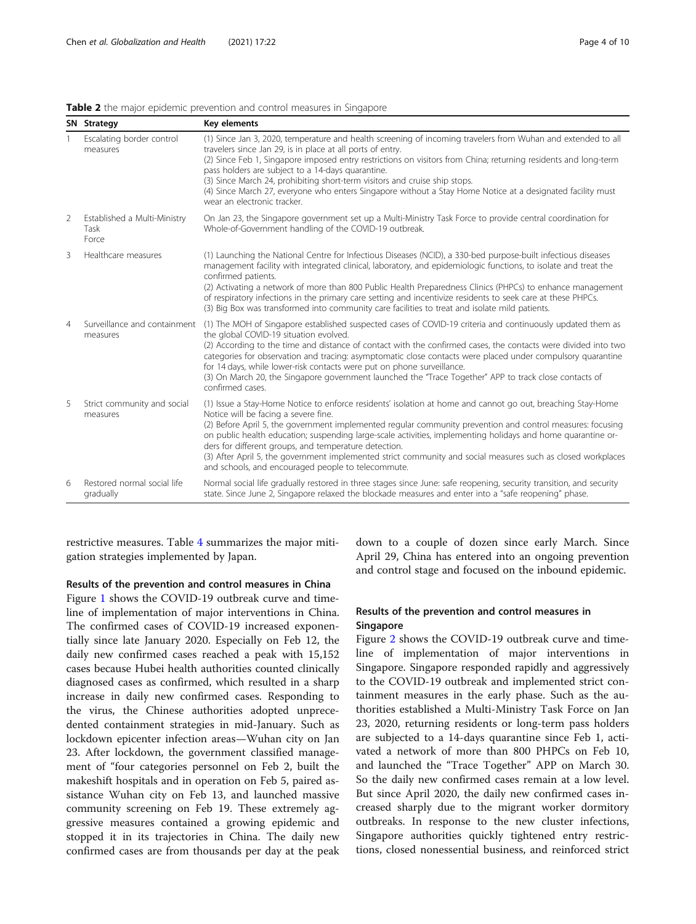|                | SN Strategy                                   | Key elements                                                                                                                                                                                                                                                                                                                                                                                                                                                                                                                                                                                                     |  |
|----------------|-----------------------------------------------|------------------------------------------------------------------------------------------------------------------------------------------------------------------------------------------------------------------------------------------------------------------------------------------------------------------------------------------------------------------------------------------------------------------------------------------------------------------------------------------------------------------------------------------------------------------------------------------------------------------|--|
|                | Escalating border control<br>measures         | (1) Since Jan 3, 2020, temperature and health screening of incoming travelers from Wuhan and extended to all<br>travelers since Jan 29, is in place at all ports of entry.<br>(2) Since Feb 1, Singapore imposed entry restrictions on visitors from China; returning residents and long-term<br>pass holders are subject to a 14-days quarantine.<br>(3) Since March 24, prohibiting short-term visitors and cruise ship stops.<br>(4) Since March 27, everyone who enters Singapore without a Stay Home Notice at a designated facility must<br>wear an electronic tracker.                                    |  |
| 2              | Established a Multi-Ministry<br>Task<br>Force | On Jan 23, the Singapore government set up a Multi-Ministry Task Force to provide central coordination for<br>Whole-of-Government handling of the COVID-19 outbreak.                                                                                                                                                                                                                                                                                                                                                                                                                                             |  |
| 3              | Healthcare measures                           | (1) Launching the National Centre for Infectious Diseases (NCID), a 330-bed purpose-built infectious diseases<br>management facility with integrated clinical, laboratory, and epidemiologic functions, to isolate and treat the<br>confirmed patients.<br>(2) Activating a network of more than 800 Public Health Preparedness Clinics (PHPCs) to enhance management<br>of respiratory infections in the primary care setting and incentivize residents to seek care at these PHPCs.<br>(3) Big Box was transformed into community care facilities to treat and isolate mild patients.                          |  |
| $\overline{4}$ | Surveillance and containment<br>measures      | (1) The MOH of Singapore established suspected cases of COVID-19 criteria and continuously updated them as<br>the global COVID-19 situation evolved.<br>(2) According to the time and distance of contact with the confirmed cases, the contacts were divided into two<br>categories for observation and tracing: asymptomatic close contacts were placed under compulsory quarantine<br>for 14 days, while lower-risk contacts were put on phone surveillance.<br>(3) On March 20, the Singapore government launched the "Trace Together" APP to track close contacts of<br>confirmed cases.                    |  |
| 5              | Strict community and social<br>measures       | (1) Issue a Stay-Home Notice to enforce residents' isolation at home and cannot go out, breaching Stay-Home<br>Notice will be facing a severe fine.<br>(2) Before April 5, the government implemented regular community prevention and control measures: focusing<br>on public health education; suspending large-scale activities, implementing holidays and home quarantine or-<br>ders for different groups, and temperature detection.<br>(3) After April 5, the government implemented strict community and social measures such as closed workplaces<br>and schools, and encouraged people to telecommute. |  |
| 6              | Restored normal social life<br>gradually      | Normal social life gradually restored in three stages since June: safe reopening, security transition, and security<br>state. Since June 2, Singapore relaxed the blockade measures and enter into a "safe reopening" phase.                                                                                                                                                                                                                                                                                                                                                                                     |  |

# <span id="page-3-0"></span>Table 2 the major epidemic prevention and control measures in Singapore

restrictive measures. Table [4](#page-5-0) summarizes the major mitigation strategies implemented by Japan.

# Results of the prevention and control measures in China

Figure [1](#page-6-0) shows the COVID-19 outbreak curve and timeline of implementation of major interventions in China. The confirmed cases of COVID-19 increased exponentially since late January 2020. Especially on Feb 12, the daily new confirmed cases reached a peak with 15,152 cases because Hubei health authorities counted clinically diagnosed cases as confirmed, which resulted in a sharp increase in daily new confirmed cases. Responding to the virus, the Chinese authorities adopted unprecedented containment strategies in mid-January. Such as lockdown epicenter infection areas—Wuhan city on Jan 23. After lockdown, the government classified management of "four categories personnel on Feb 2, built the makeshift hospitals and in operation on Feb 5, paired assistance Wuhan city on Feb 13, and launched massive community screening on Feb 19. These extremely aggressive measures contained a growing epidemic and stopped it in its trajectories in China. The daily new confirmed cases are from thousands per day at the peak down to a couple of dozen since early March. Since April 29, China has entered into an ongoing prevention and control stage and focused on the inbound epidemic.

# Results of the prevention and control measures in Singapore

Figure [2](#page-6-0) shows the COVID-19 outbreak curve and timeline of implementation of major interventions in Singapore. Singapore responded rapidly and aggressively to the COVID-19 outbreak and implemented strict containment measures in the early phase. Such as the authorities established a Multi-Ministry Task Force on Jan 23, 2020, returning residents or long-term pass holders are subjected to a 14-days quarantine since Feb 1, activated a network of more than 800 PHPCs on Feb 10, and launched the "Trace Together" APP on March 30. So the daily new confirmed cases remain at a low level. But since April 2020, the daily new confirmed cases increased sharply due to the migrant worker dormitory outbreaks. In response to the new cluster infections, Singapore authorities quickly tightened entry restrictions, closed nonessential business, and reinforced strict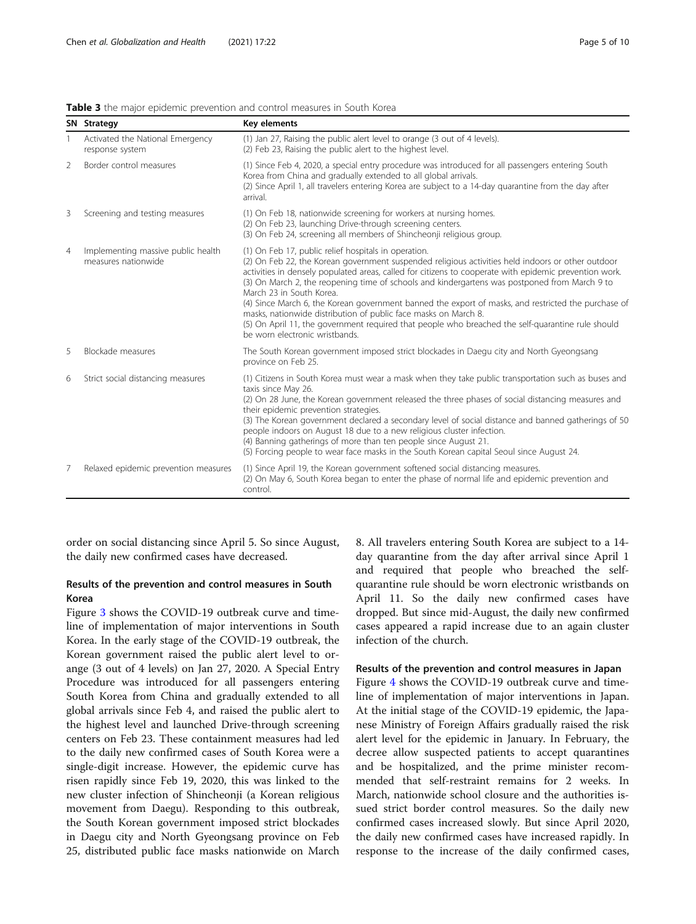| SN Strategy<br>Key elements |                                                           |                                                                                                                                                                                                                                                                                                                                                                                                                                                                                                                                                                                                                                                                                                                   |  |
|-----------------------------|-----------------------------------------------------------|-------------------------------------------------------------------------------------------------------------------------------------------------------------------------------------------------------------------------------------------------------------------------------------------------------------------------------------------------------------------------------------------------------------------------------------------------------------------------------------------------------------------------------------------------------------------------------------------------------------------------------------------------------------------------------------------------------------------|--|
|                             | Activated the National Emergency<br>response system       | (1) Jan 27, Raising the public alert level to orange (3 out of 4 levels).<br>(2) Feb 23, Raising the public alert to the highest level.                                                                                                                                                                                                                                                                                                                                                                                                                                                                                                                                                                           |  |
| 2                           | Border control measures                                   | (1) Since Feb 4, 2020, a special entry procedure was introduced for all passengers entering South<br>Korea from China and gradually extended to all global arrivals.<br>(2) Since April 1, all travelers entering Korea are subject to a 14-day quarantine from the day after<br>arrival.                                                                                                                                                                                                                                                                                                                                                                                                                         |  |
| 3                           | Screening and testing measures                            | (1) On Feb 18, nationwide screening for workers at nursing homes.<br>(2) On Feb 23, launching Drive-through screening centers.<br>(3) On Feb 24, screening all members of Shincheonji religious group.                                                                                                                                                                                                                                                                                                                                                                                                                                                                                                            |  |
| $\overline{4}$              | Implementing massive public health<br>measures nationwide | (1) On Feb 17, public relief hospitals in operation.<br>(2) On Feb 22, the Korean government suspended religious activities held indoors or other outdoor<br>activities in densely populated areas, called for citizens to cooperate with epidemic prevention work.<br>(3) On March 2, the reopening time of schools and kindergartens was postponed from March 9 to<br>March 23 in South Korea.<br>(4) Since March 6, the Korean government banned the export of masks, and restricted the purchase of<br>masks, nationwide distribution of public face masks on March 8.<br>(5) On April 11, the government required that people who breached the self-quarantine rule should<br>be worn electronic wristbands. |  |
| 5                           | Blockade measures                                         | The South Korean government imposed strict blockades in Daegu city and North Gyeongsang<br>province on Feb 25.                                                                                                                                                                                                                                                                                                                                                                                                                                                                                                                                                                                                    |  |
| 6                           | Strict social distancing measures                         | (1) Citizens in South Korea must wear a mask when they take public transportation such as buses and<br>taxis since May 26.<br>(2) On 28 June, the Korean government released the three phases of social distancing measures and<br>their epidemic prevention strategies.<br>(3) The Korean government declared a secondary level of social distance and banned gatherings of 50<br>people indoors on August 18 due to a new religious cluster infection.<br>(4) Banning gatherings of more than ten people since August 21.<br>(5) Forcing people to wear face masks in the South Korean capital Seoul since August 24.                                                                                           |  |
| 7                           | Relaxed epidemic prevention measures                      | (1) Since April 19, the Korean government softened social distancing measures.<br>(2) On May 6, South Korea began to enter the phase of normal life and epidemic prevention and<br>control.                                                                                                                                                                                                                                                                                                                                                                                                                                                                                                                       |  |

<span id="page-4-0"></span>Table 3 the major epidemic prevention and control measures in South Korea

order on social distancing since April 5. So since August, the daily new confirmed cases have decreased.

# Results of the prevention and control measures in South Korea

Figure [3](#page-7-0) shows the COVID-19 outbreak curve and timeline of implementation of major interventions in South Korea. In the early stage of the COVID-19 outbreak, the Korean government raised the public alert level to orange (3 out of 4 levels) on Jan 27, 2020. A Special Entry Procedure was introduced for all passengers entering South Korea from China and gradually extended to all global arrivals since Feb 4, and raised the public alert to the highest level and launched Drive-through screening centers on Feb 23. These containment measures had led to the daily new confirmed cases of South Korea were a single-digit increase. However, the epidemic curve has risen rapidly since Feb 19, 2020, this was linked to the new cluster infection of Shincheonji (a Korean religious movement from Daegu). Responding to this outbreak, the South Korean government imposed strict blockades in Daegu city and North Gyeongsang province on Feb 25, distributed public face masks nationwide on March 8. All travelers entering South Korea are subject to a 14 day quarantine from the day after arrival since April 1 and required that people who breached the selfquarantine rule should be worn electronic wristbands on April 11. So the daily new confirmed cases have dropped. But since mid-August, the daily new confirmed cases appeared a rapid increase due to an again cluster infection of the church.

# Results of the prevention and control measures in Japan

Figure [4](#page-7-0) shows the COVID-19 outbreak curve and timeline of implementation of major interventions in Japan. At the initial stage of the COVID-19 epidemic, the Japanese Ministry of Foreign Affairs gradually raised the risk alert level for the epidemic in January. In February, the decree allow suspected patients to accept quarantines and be hospitalized, and the prime minister recommended that self-restraint remains for 2 weeks. In March, nationwide school closure and the authorities issued strict border control measures. So the daily new confirmed cases increased slowly. But since April 2020, the daily new confirmed cases have increased rapidly. In response to the increase of the daily confirmed cases,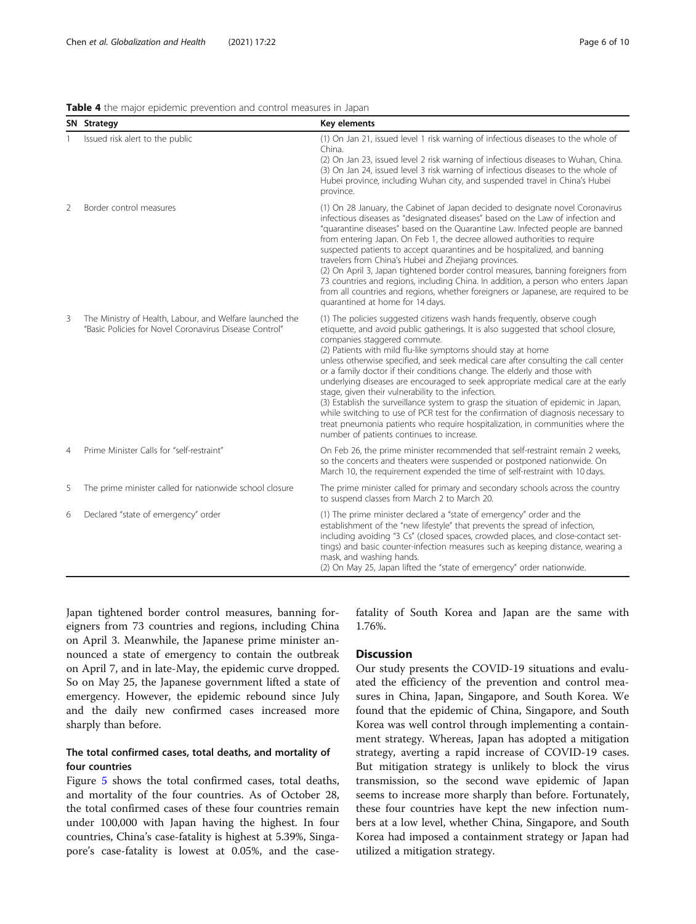<span id="page-5-0"></span>

|  |  |  | Table 4 the major epidemic prevention and control measures in Japan |  |  |  |
|--|--|--|---------------------------------------------------------------------|--|--|--|
|--|--|--|---------------------------------------------------------------------|--|--|--|

|                | SN Strategy                                                                                                        | Key elements                                                                                                                                                                                                                                                                                                                                                                                                                                                                                                                                                                                                                                                                                                                                                                                                                                                                         |
|----------------|--------------------------------------------------------------------------------------------------------------------|--------------------------------------------------------------------------------------------------------------------------------------------------------------------------------------------------------------------------------------------------------------------------------------------------------------------------------------------------------------------------------------------------------------------------------------------------------------------------------------------------------------------------------------------------------------------------------------------------------------------------------------------------------------------------------------------------------------------------------------------------------------------------------------------------------------------------------------------------------------------------------------|
|                | Issued risk alert to the public                                                                                    | (1) On Jan 21, issued level 1 risk warning of infectious diseases to the whole of<br>China.<br>(2) On Jan 23, issued level 2 risk warning of infectious diseases to Wuhan, China.<br>(3) On Jan 24, issued level 3 risk warning of infectious diseases to the whole of<br>Hubei province, including Wuhan city, and suspended travel in China's Hubei<br>province.                                                                                                                                                                                                                                                                                                                                                                                                                                                                                                                   |
| $\overline{2}$ | Border control measures                                                                                            | (1) On 28 January, the Cabinet of Japan decided to designate novel Coronavirus<br>infectious diseases as "designated diseases" based on the Law of infection and<br>"quarantine diseases" based on the Quarantine Law. Infected people are banned<br>from entering Japan. On Feb 1, the decree allowed authorities to require<br>suspected patients to accept quarantines and be hospitalized, and banning<br>travelers from China's Hubei and Zhejiang provinces.<br>(2) On April 3, Japan tightened border control measures, banning foreigners from<br>73 countries and regions, including China. In addition, a person who enters Japan<br>from all countries and regions, whether foreigners or Japanese, are required to be<br>quarantined at home for 14 days.                                                                                                                |
| 3              | The Ministry of Health, Labour, and Welfare launched the<br>"Basic Policies for Novel Coronavirus Disease Control" | (1) The policies suggested citizens wash hands frequently, observe cough<br>etiquette, and avoid public gatherings. It is also suggested that school closure,<br>companies staggered commute.<br>(2) Patients with mild flu-like symptoms should stay at home<br>unless otherwise specified, and seek medical care after consulting the call center<br>or a family doctor if their conditions change. The elderly and those with<br>underlying diseases are encouraged to seek appropriate medical care at the early<br>stage, given their vulnerability to the infection.<br>(3) Establish the surveillance system to grasp the situation of epidemic in Japan,<br>while switching to use of PCR test for the confirmation of diagnosis necessary to<br>treat pneumonia patients who require hospitalization, in communities where the<br>number of patients continues to increase. |
| $\overline{4}$ | Prime Minister Calls for "self-restraint"                                                                          | On Feb 26, the prime minister recommended that self-restraint remain 2 weeks,<br>so the concerts and theaters were suspended or postponed nationwide. On<br>March 10, the requirement expended the time of self-restraint with 10 days.                                                                                                                                                                                                                                                                                                                                                                                                                                                                                                                                                                                                                                              |
| 5              | The prime minister called for nationwide school closure                                                            | The prime minister called for primary and secondary schools across the country<br>to suspend classes from March 2 to March 20.                                                                                                                                                                                                                                                                                                                                                                                                                                                                                                                                                                                                                                                                                                                                                       |
| 6              | Declared "state of emergency" order                                                                                | (1) The prime minister declared a "state of emergency" order and the<br>establishment of the "new lifestyle" that prevents the spread of infection,<br>including avoiding "3 Cs" (closed spaces, crowded places, and close-contact set-<br>tings) and basic counter-infection measures such as keeping distance, wearing a<br>mask, and washing hands.<br>(2) On May 25, Japan lifted the "state of emergency" order nationwide.                                                                                                                                                                                                                                                                                                                                                                                                                                                     |

Japan tightened border control measures, banning foreigners from 73 countries and regions, including China on April 3. Meanwhile, the Japanese prime minister announced a state of emergency to contain the outbreak on April 7, and in late-May, the epidemic curve dropped. So on May 25, the Japanese government lifted a state of emergency. However, the epidemic rebound since July and the daily new confirmed cases increased more sharply than before.

# The total confirmed cases, total deaths, and mortality of four countries

Figure [5](#page-8-0) shows the total confirmed cases, total deaths, and mortality of the four countries. As of October 28, the total confirmed cases of these four countries remain under 100,000 with Japan having the highest. In four countries, China's case-fatality is highest at 5.39%, Singapore's case-fatality is lowest at 0.05%, and the casefatality of South Korea and Japan are the same with 1.76%.

# **Discussion**

Our study presents the COVID-19 situations and evaluated the efficiency of the prevention and control measures in China, Japan, Singapore, and South Korea. We found that the epidemic of China, Singapore, and South Korea was well control through implementing a containment strategy. Whereas, Japan has adopted a mitigation strategy, averting a rapid increase of COVID-19 cases. But mitigation strategy is unlikely to block the virus transmission, so the second wave epidemic of Japan seems to increase more sharply than before. Fortunately, these four countries have kept the new infection numbers at a low level, whether China, Singapore, and South Korea had imposed a containment strategy or Japan had utilized a mitigation strategy.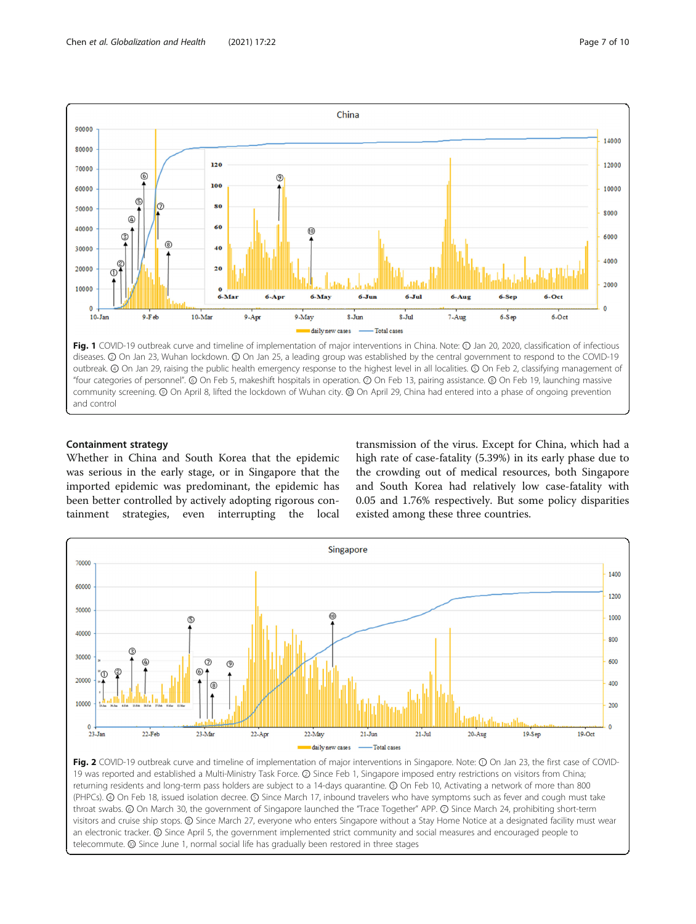<span id="page-6-0"></span>

"four categories of personnel". ⑥ On Feb 5, makeshift hospitals in operation. ⑦ On Feb 13, pairing assistance. ⑧ On Feb 19, launching massive community screening. ⑨ On April 8, lifted the lockdown of Wuhan city. ⑩ On April 29, China had entered into a phase of ongoing prevention and control

# Containment strategy

Whether in China and South Korea that the epidemic was serious in the early stage, or in Singapore that the imported epidemic was predominant, the epidemic has been better controlled by actively adopting rigorous containment strategies, even interrupting the local

transmission of the virus. Except for China, which had a high rate of case-fatality (5.39%) in its early phase due to the crowding out of medical resources, both Singapore and South Korea had relatively low case-fatality with 0.05 and 1.76% respectively. But some policy disparities existed among these three countries.



Fig. 2 COVID-19 outbreak curve and timeline of implementation of major interventions in Singapore. Note: ① On Jan 23, the first case of COVID-19 was reported and established a Multi-Ministry Task Force. ② Since Feb 1, Singapore imposed entry restrictions on visitors from China; returning residents and long-term pass holders are subject to a 14-days quarantine. ③ On Feb 10, Activating a network of more than 800 (PHPCs). ④ On Feb 18, issued isolation decree. ⑤ Since March 17, inbound travelers who have symptoms such as fever and cough must take throat swabs. ⑥ On March 30, the government of Singapore launched the "Trace Together" APP. ⑦ Since March 24, prohibiting short-term visitors and cruise ship stops. ⑧ Since March 27, everyone who enters Singapore without a Stay Home Notice at a designated facility must wear an electronic tracker. ⑨ Since April 5, the government implemented strict community and social measures and encouraged people to telecommute. ⑩ Since June 1, normal social life has gradually been restored in three stages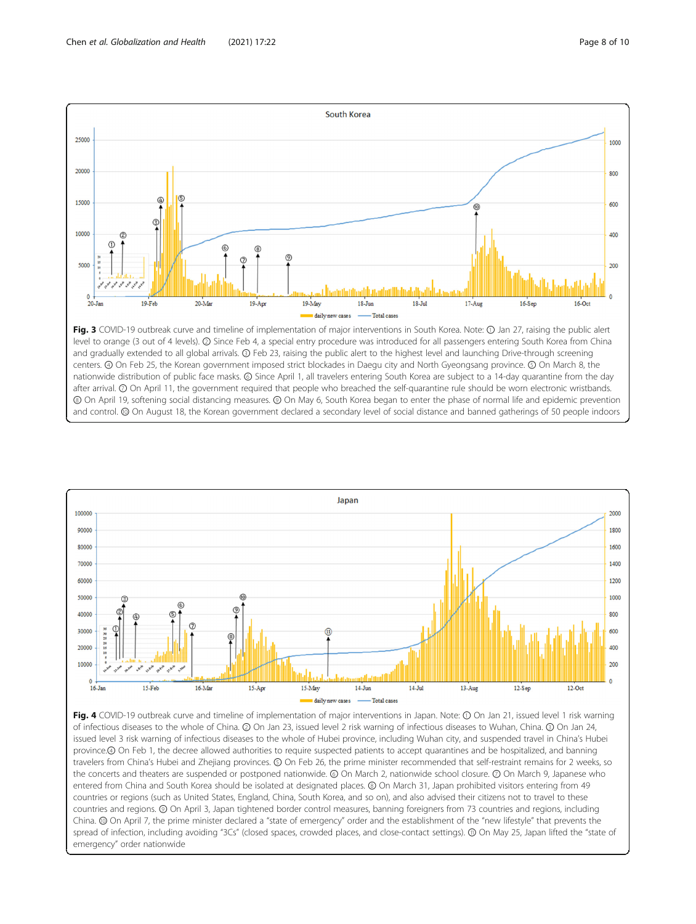<span id="page-7-0"></span>

level to orange (3 out of 4 levels). ② Since Feb 4, a special entry procedure was introduced for all passengers entering South Korea from China and gradually extended to all global arrivals. ③ Feb 23, raising the public alert to the highest level and launching Drive-through screening centers. ④ On Feb 25, the Korean government imposed strict blockades in Daegu city and North Gyeongsang province. ⑤ On March 8, the nationwide distribution of public face masks. ⑥ Since April 1, all travelers entering South Korea are subject to a 14-day quarantine from the day after arrival. © On April 11, the government required that people who breached the self-quarantine rule should be worn electronic wristbands. ⑧ On April 19, softening social distancing measures. ⑨ On May 6, South Korea began to enter the phase of normal life and epidemic prevention and control. ⑩ On August 18, the Korean government declared a secondary level of social distance and banned gatherings of 50 people indoors



Fig. 4 COVID-19 outbreak curve and timeline of implementation of major interventions in Japan. Note: 1 On Jan 21, issued level 1 risk warning of infectious diseases to the whole of China. ② On Jan 23, issued level 2 risk warning of infectious diseases to Wuhan, China. ③ On Jan 24, issued level 3 risk warning of infectious diseases to the whole of Hubei province, including Wuhan city, and suspended travel in China's Hubei province.④ On Feb 1, the decree allowed authorities to require suspected patients to accept quarantines and be hospitalized, and banning travelers from China's Hubei and Zhejiang provinces. ⑤ On Feb 26, the prime minister recommended that self-restraint remains for 2 weeks, so the concerts and theaters are suspended or postponed nationwide. ⑥ On March 2, nationwide school closure. ⑦ On March 9, Japanese who entered from China and South Korea should be isolated at designated places. ⑧ On March 31, Japan prohibited visitors entering from 49 countries or regions (such as United States, England, China, South Korea, and so on), and also advised their citizens not to travel to these countries and regions. ⑨ On April 3, Japan tightened border control measures, banning foreigners from 73 countries and regions, including China. ⑩ On April 7, the prime minister declared a "state of emergency" order and the establishment of the "new lifestyle" that prevents the spread of infection, including avoiding "3Cs" (closed spaces, crowded places, and close-contact settings). @ On May 25, Japan lifted the "state of emergency" order nationwide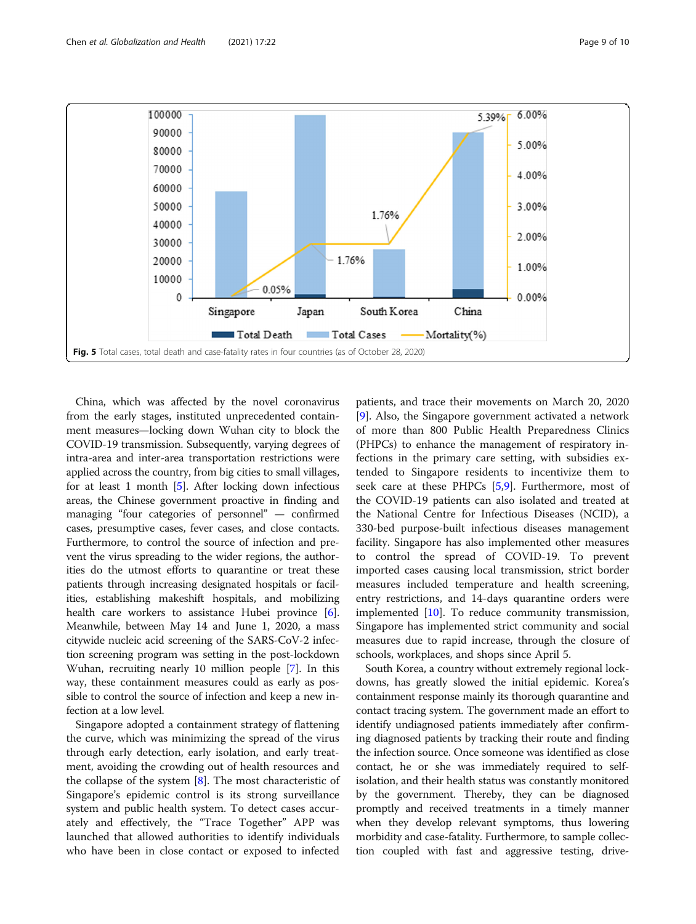<span id="page-8-0"></span>

China, which was affected by the novel coronavirus from the early stages, instituted unprecedented containment measures—locking down Wuhan city to block the COVID-19 transmission. Subsequently, varying degrees of intra-area and inter-area transportation restrictions were applied across the country, from big cities to small villages, for at least 1 month [\[5](#page-9-0)]. After locking down infectious areas, the Chinese government proactive in finding and managing "four categories of personnel" — confirmed cases, presumptive cases, fever cases, and close contacts. Furthermore, to control the source of infection and prevent the virus spreading to the wider regions, the authorities do the utmost efforts to quarantine or treat these patients through increasing designated hospitals or facilities, establishing makeshift hospitals, and mobilizing health care workers to assistance Hubei province [[6](#page-9-0)]. Meanwhile, between May 14 and June 1, 2020, a mass citywide nucleic acid screening of the SARS-CoV-2 infection screening program was setting in the post-lockdown Wuhan, recruiting nearly 10 million people [\[7\]](#page-9-0). In this way, these containment measures could as early as possible to control the source of infection and keep a new infection at a low level.

Singapore adopted a containment strategy of flattening the curve, which was minimizing the spread of the virus through early detection, early isolation, and early treatment, avoiding the crowding out of health resources and the collapse of the system  $[8]$  $[8]$ . The most characteristic of Singapore's epidemic control is its strong surveillance system and public health system. To detect cases accurately and effectively, the "Trace Together" APP was launched that allowed authorities to identify individuals who have been in close contact or exposed to infected

patients, and trace their movements on March 20, 2020 [[9\]](#page-9-0). Also, the Singapore government activated a network of more than 800 Public Health Preparedness Clinics (PHPCs) to enhance the management of respiratory infections in the primary care setting, with subsidies extended to Singapore residents to incentivize them to seek care at these PHPCs [\[5,9](#page-9-0)]. Furthermore, most of the COVID-19 patients can also isolated and treated at the National Centre for Infectious Diseases (NCID), a 330-bed purpose-built infectious diseases management facility. Singapore has also implemented other measures to control the spread of COVID-19. To prevent imported cases causing local transmission, strict border measures included temperature and health screening, entry restrictions, and 14-days quarantine orders were implemented [[10\]](#page-9-0). To reduce community transmission, Singapore has implemented strict community and social measures due to rapid increase, through the closure of schools, workplaces, and shops since April 5.

South Korea, a country without extremely regional lockdowns, has greatly slowed the initial epidemic. Korea's containment response mainly its thorough quarantine and contact tracing system. The government made an effort to identify undiagnosed patients immediately after confirming diagnosed patients by tracking their route and finding the infection source. Once someone was identified as close contact, he or she was immediately required to selfisolation, and their health status was constantly monitored by the government. Thereby, they can be diagnosed promptly and received treatments in a timely manner when they develop relevant symptoms, thus lowering morbidity and case-fatality. Furthermore, to sample collection coupled with fast and aggressive testing, drive